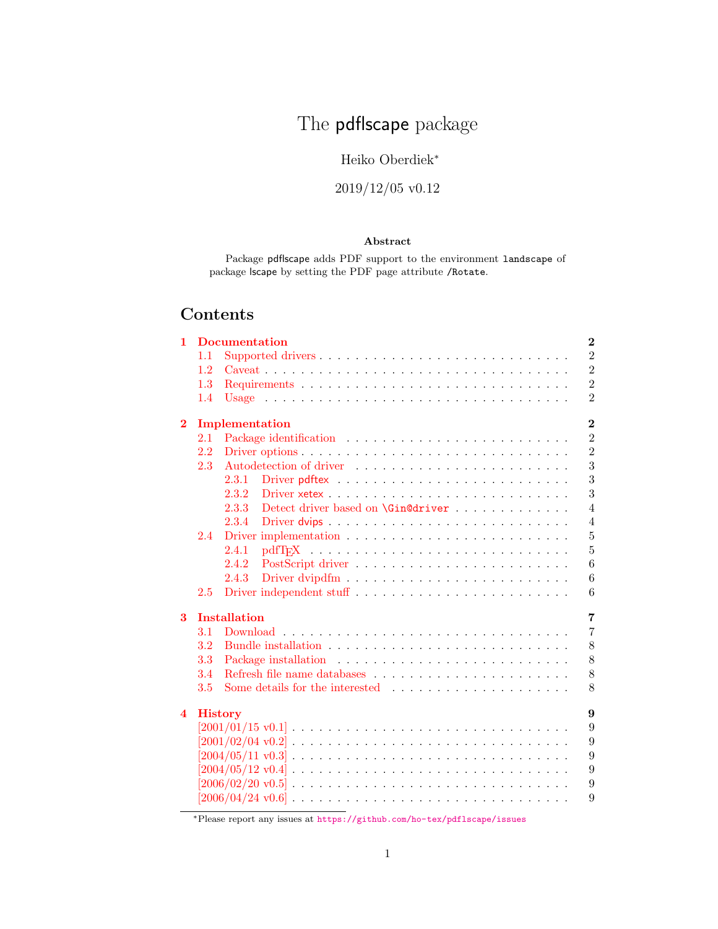# The pdflscape package

# Heiko Oberdiek<sup>∗</sup>

# 2019/12/05 v0.12

#### Abstract

Package pdflscape adds PDF support to the environment landscape of package lscape by setting the PDF page attribute /Rotate.

# Contents

| 1                       |                                  | <b>Documentation</b>                        | $\bf{2}$       |  |  |  |  |
|-------------------------|----------------------------------|---------------------------------------------|----------------|--|--|--|--|
|                         | 1.1                              |                                             | $\overline{2}$ |  |  |  |  |
|                         | 1.2                              |                                             | $\overline{2}$ |  |  |  |  |
|                         | 1.3                              |                                             | $\overline{2}$ |  |  |  |  |
|                         | 1.4                              |                                             | $\overline{2}$ |  |  |  |  |
| $\bf{2}$                | $\overline{2}$<br>Implementation |                                             |                |  |  |  |  |
|                         | 2.1                              |                                             | $\overline{2}$ |  |  |  |  |
|                         | 2.2                              |                                             | $\overline{2}$ |  |  |  |  |
|                         | 2.3                              |                                             | 3              |  |  |  |  |
|                         |                                  | 2.3.1                                       | 3              |  |  |  |  |
|                         |                                  | 2.3.2                                       | 3              |  |  |  |  |
|                         |                                  | 2.3.3<br>Detect driver based on \Gin@driver | $\overline{4}$ |  |  |  |  |
|                         |                                  | 2.3.4                                       | $\overline{4}$ |  |  |  |  |
|                         | 2.4                              |                                             | $\overline{5}$ |  |  |  |  |
|                         |                                  | 2.4.1                                       | $\overline{5}$ |  |  |  |  |
|                         |                                  | 2.4.2                                       | 6              |  |  |  |  |
|                         |                                  | 2.4.3                                       | 6              |  |  |  |  |
|                         | 2.5                              | Driver independent stuff                    | 6              |  |  |  |  |
| 3                       |                                  | <b>Installation</b>                         | $\overline{7}$ |  |  |  |  |
|                         | 3.1                              |                                             | $\overline{7}$ |  |  |  |  |
|                         | 3.2                              |                                             | 8              |  |  |  |  |
|                         | 3.3                              |                                             | 8              |  |  |  |  |
|                         | 3.4                              |                                             | 8              |  |  |  |  |
|                         | 3.5                              |                                             | 8              |  |  |  |  |
| $\overline{\mathbf{4}}$ |                                  | <b>History</b>                              | 9              |  |  |  |  |
|                         |                                  |                                             | 9              |  |  |  |  |
|                         |                                  |                                             | 9              |  |  |  |  |
|                         |                                  |                                             | 9              |  |  |  |  |
|                         |                                  |                                             | 9              |  |  |  |  |
|                         |                                  |                                             | 9              |  |  |  |  |
|                         |                                  |                                             | 9              |  |  |  |  |
|                         |                                  |                                             |                |  |  |  |  |

<sup>∗</sup>Please report any issues at <https://github.com/ho-tex/pdflscape/issues>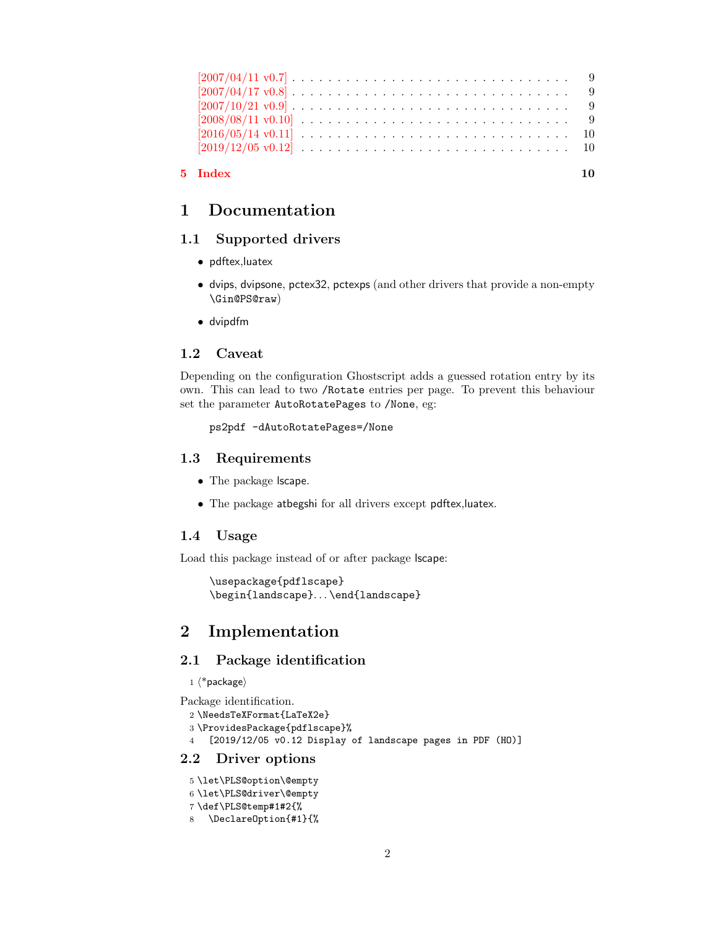| 5 Index                                                                                                           |  |
|-------------------------------------------------------------------------------------------------------------------|--|
| $[2019/12/05 \text{ v}0.12] \ldots \ldots \ldots \ldots \ldots \ldots \ldots \ldots \ldots \ldots \ldots 10$      |  |
|                                                                                                                   |  |
|                                                                                                                   |  |
| $[2007/10/21 \text{ v}0.9] \ldots \ldots \ldots \ldots \ldots \ldots \ldots \ldots \ldots \ldots \ldots 9$        |  |
| $[2007/04/17 \text{ v}0.8] \ldots \ldots \ldots \ldots \ldots \ldots \ldots \ldots \ldots \ldots \ldots 9$        |  |
| $[2007/04/11 \text{ v}0.7] \ldots \ldots \ldots \ldots \ldots \ldots \ldots \ldots \ldots \ldots \ldots \ldots 9$ |  |

# <span id="page-1-0"></span>1 Documentation

### <span id="page-1-1"></span>1.1 Supported drivers

- pdftex,luatex
- dvips, dvipsone, pctex32, pctexps (and other drivers that provide a non-empty \Gin@PS@raw)
- dvipdfm

#### <span id="page-1-2"></span>1.2 Caveat

Depending on the configuration Ghostscript adds a guessed rotation entry by its own. This can lead to two /Rotate entries per page. To prevent this behaviour set the parameter AutoRotatePages to /None, eg:

ps2pdf -dAutoRotatePages=/None

#### <span id="page-1-3"></span>1.3 Requirements

- The package **lscape**.
- The package atbegshi for all drivers except pdftex,luatex.

### <span id="page-1-4"></span>1.4 Usage

Load this package instead of or after package lscape:

```
\usepackage{pdflscape}
\begin{landscape}. . . \end{landscape}
```
# <span id="page-1-5"></span>2 Implementation

## <span id="page-1-6"></span>2.1 Package identification

 $1 \langle *packet$ ackage $\rangle$ 

```
Package identification.
```

```
2 \NeedsTeXFormat{LaTeX2e}
```

```
3 \ProvidesPackage{pdflscape}%
```
4 [2019/12/05 v0.12 Display of landscape pages in PDF (HO)]

### <span id="page-1-7"></span>2.2 Driver options

<span id="page-1-9"></span><span id="page-1-8"></span>5 \let\PLS@option\@empty 6 \let\PLS@driver\@empty 7 \def\PLS@temp#1#2{%

<span id="page-1-12"></span><span id="page-1-10"></span><sup>8</sup> \DeclareOption{#1}{%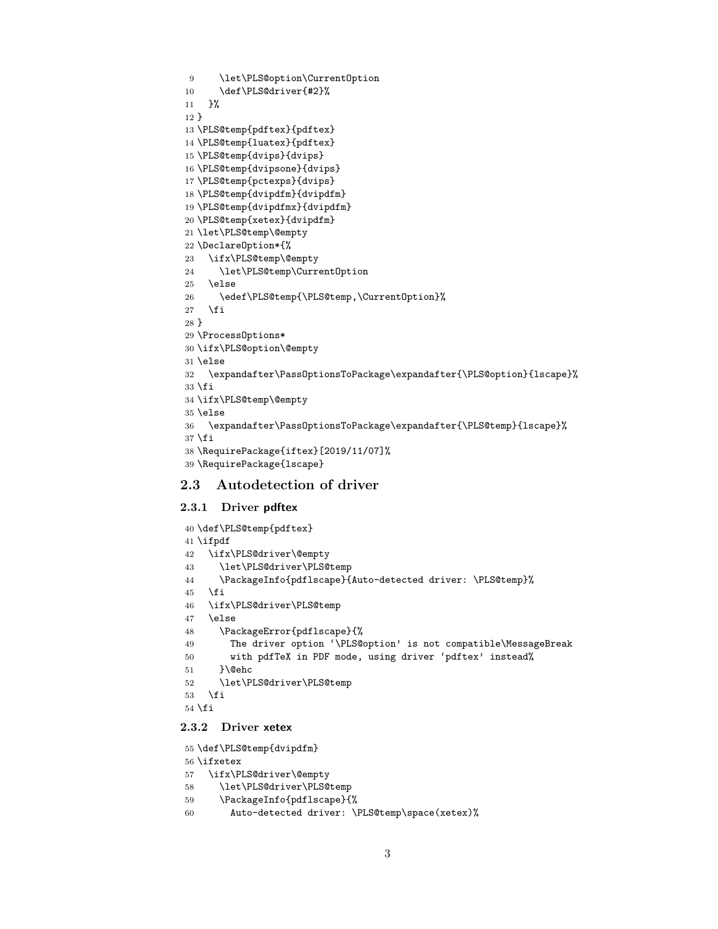```
9 \let\PLS@option\CurrentOption
10 \def\PLS@driver{#2}%
11 }%
12 }
13 \PLS@temp{pdftex}{pdftex}
14 \PLS@temp{luatex}{pdftex}
15 \PLS@temp{dvips}{dvips}
16 \PLS@temp{dvipsone}{dvips}
17 \PLS@temp{pctexps}{dvips}
18 \PLS@temp{dvipdfm}{dvipdfm}
19 \PLS@temp{dvipdfmx}{dvipdfm}
20 \PLS@temp{xetex}{dvipdfm}
21 \let\PLS@temp\@empty
22 \DeclareOption*{%
23 \ifx\PLS@temp\@empty
24 \let\PLS@temp\CurrentOption
25 \else
26 \edef\PLS@temp{\PLS@temp,\CurrentOption}%
27 \overrightarrow{fi}28 }
29 \ProcessOptions*
30 \ifx\PLS@option\@empty
31 \else
32 \expandafter\PassOptionsToPackage\expandafter{\PLS@option}{lscape}%
33 \fi
34 \ifx\PLS@temp\@empty
35 \else
36 \expandafter\PassOptionsToPackage\expandafter{\PLS@temp}{lscape}%
37 \fi
38 \RequirePackage{iftex}[2019/11/07]%
39 \RequirePackage{lscape}
```
### <span id="page-2-40"></span><span id="page-2-39"></span><span id="page-2-38"></span><span id="page-2-22"></span><span id="page-2-21"></span><span id="page-2-12"></span><span id="page-2-7"></span><span id="page-2-6"></span><span id="page-2-0"></span>2.3 Autodetection of driver

#### <span id="page-2-1"></span>2.3.1 Driver pdftex

```
40 \def\PLS@temp{pdftex}
41 \ifpdf
42 \ifx\PLS@driver\@empty
43 \let\PLS@driver\PLS@temp
44 \PackageInfo{pdflscape}{Auto-detected driver: \PLS@temp}%
45 \fi
46 \ifx\PLS@driver\PLS@temp
47 \else
48 \PackageError{pdflscape}{%
49 The driver option '\PLS@option' is not compatible\MessageBreak
50 with pdfTeX in PDF mode, using driver 'pdftex' instead%
51 }\@ehc
52 \let\PLS@driver\PLS@temp
53 \fi
54 \fi
```
### <span id="page-2-25"></span><span id="page-2-18"></span><span id="page-2-17"></span><span id="page-2-3"></span><span id="page-2-2"></span>2.3.2 Driver xetex

```
55 \def\PLS@temp{dvipdfm}
```

```
56 \ifxetex
```

```
57 \ifx\PLS@driver\@empty
```

```
58 \let\PLS@driver\PLS@temp
```

```
59 \PackageInfo{pdflscape}{%
```

```
60 Auto-detected driver: \PLS@temp\space(xetex)%
```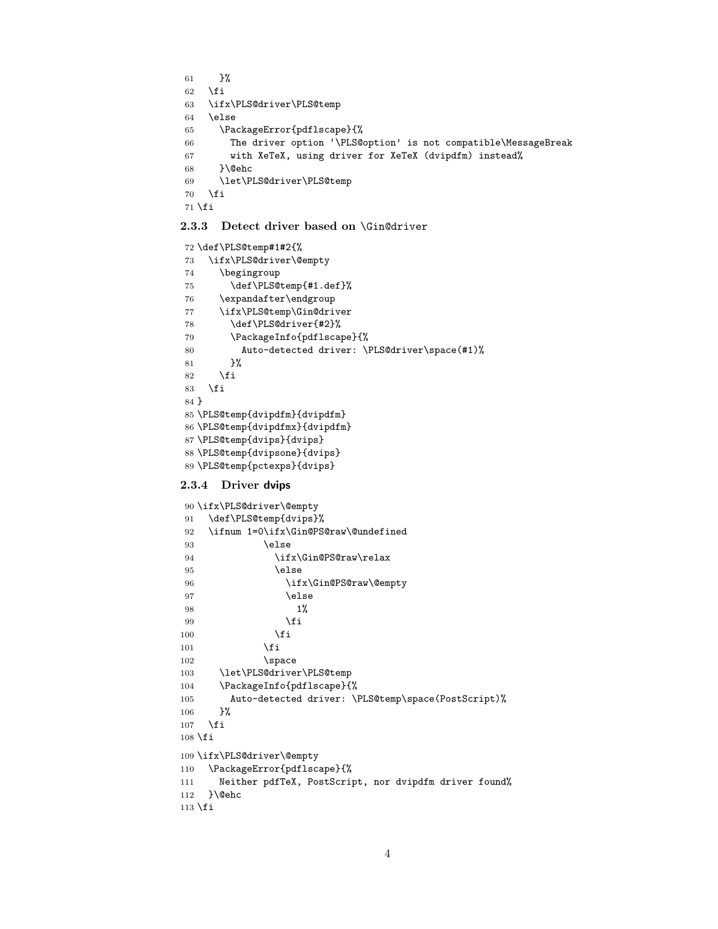<span id="page-3-13"></span><span id="page-3-12"></span><span id="page-3-11"></span> }%  $\overrightarrow{fi}$  \ifx\PLS@driver\PLS@temp \else \PackageError{pdflscape}{% The driver option '\PLS@option' is not compatible\MessageBreak with XeTeX, using driver for XeTeX (dvipdfm) instead% }\@ehc \let\PLS@driver\PLS@temp  $\overline{f}$ \fi

#### <span id="page-3-17"></span><span id="page-3-2"></span><span id="page-3-0"></span>2.3.3 Detect driver based on \Gin@driver

```
72 \def\PLS@temp#1#2{%
73 \ifx\PLS@driver\@empty
74 \begingroup
75 \def\PLS@temp{#1.def}%
76 \expandafter\endgroup
77 \ifx\PLS@temp\Gin@driver
78 \def\PLS@driver{#2}%
79 \PackageInfo{pdflscape}{%
80 Auto-detected driver: \PLS@driver\space(#1)%
81 }%
82 \fi
83 \fi
84 }
85 \PLS@temp{dvipdfm}{dvipdfm}
86 \PLS@temp{dvipdfmx}{dvipdfm}
87 \PLS@temp{dvips}{dvips}
88 \PLS@temp{dvipsone}{dvips}
89 \PLS@temp{pctexps}{dvips}
```
#### <span id="page-3-27"></span><span id="page-3-26"></span><span id="page-3-25"></span><span id="page-3-24"></span><span id="page-3-23"></span><span id="page-3-1"></span>2.3.4 Driver dvips

```
90 \ifx\PLS@driver\@empty
91 \def\PLS@temp{dvips}%
92 \ifnum 1=0\ifx\Gin@PS@raw\@undefined
93 \else
94 \ifx\Gin@PS@raw\relax
95 \else
96 \ifx\Gin@PS@raw\@empty
97 \else
98 1%99 \qquad \qquad \int fi
100 \quad \text{if}101 \qquad \qquad \text{if} \quad102 \quad \text{space}103 \let\PLS@driver\PLS@temp
104 \PackageInfo{pdflscape}{%
105 Auto-detected driver: \PLS@temp\space(PostScript)%
106 }%
107 \fi
108 \text{ t}109 \ifx\PLS@driver\@empty
110 \PackageError{pdflscape}{%
111 Neither pdfTeX, PostScript, nor dvipdfm driver found%
112 }\@ehc
113 \fi
```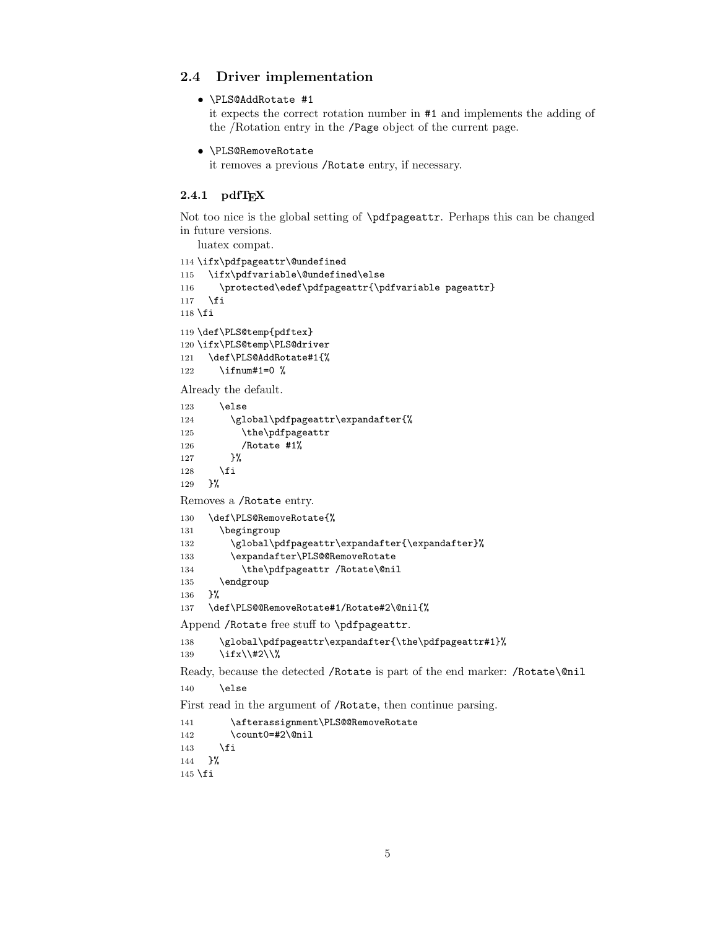### <span id="page-4-0"></span>2.4 Driver implementation

• \PLS@AddRotate #1

it expects the correct rotation number in #1 and implements the adding of the /Rotation entry in the /Page object of the current page.

• \PLS@RemoveRotate

it removes a previous /Rotate entry, if necessary.

### <span id="page-4-1"></span> $2.4.1$  pdfT<sub>F</sub>X

Not too nice is the global setting of \pdfpageattr. Perhaps this can be changed in future versions.

```
luatex compat.
114 \ifx\pdfpageattr\@undefined
115 \ifx\pdfvariable\@undefined\else
116 \protected\edef\pdfpageattr{\pdfvariable pageattr}
117 \fi
118 \fi
119 \def\PLS@temp{pdftex}
120 \ifx\PLS@temp\PLS@driver
121 \def\PLS@AddRotate#1{%
122 \ifnum#1=0 %
Already the default.
123 \else
124 \global\pdfpageattr\expandafter{%
125 \the\pdfpageattr
126 /Rotate #1%
127 }%
128 \fi
129 }%
Removes a /Rotate entry.
130 \def\PLS@RemoveRotate{%
131 \begingroup
132 \global\pdfpageattr\expandafter{\expandafter}%
133 \expandafter\PLS@@RemoveRotate
134 \the\pdfpageattr /Rotate\@nil
135 \endgroup
136 }%
137 \def\PLS@@RemoveRotate#1/Rotate#2\@nil{%
Append /Rotate free stuff to \pdfpageattr.
138 \global\pdfpageattr\expandafter{\the\pdfpageattr#1}%
139 \iint x \lvert 42\rvert \lvert 8Ready, because the detected /Rotate is part of the end marker: /Rotate\@nil
140 \else
```
<span id="page-4-18"></span><span id="page-4-16"></span><span id="page-4-15"></span><span id="page-4-14"></span><span id="page-4-7"></span><span id="page-4-3"></span><span id="page-4-2"></span>First read in the argument of /Rotate, then continue parsing.

```
141 \afterassignment\PLS@@RemoveRotate
142 \count0=#2\@nil
143 \fi
144 }%
145 \fi
```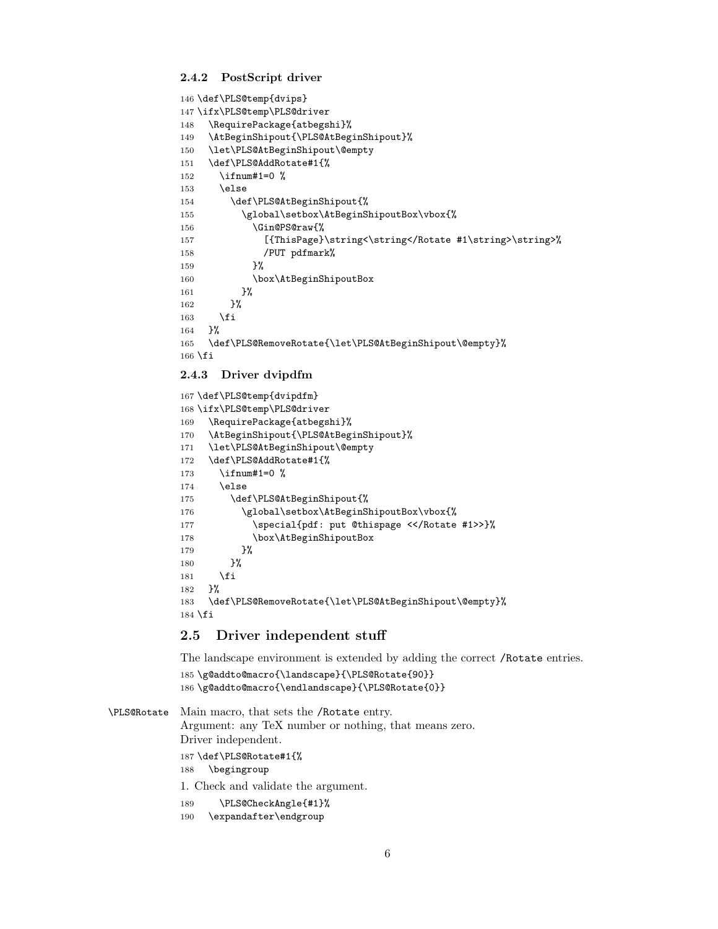#### <span id="page-5-0"></span>2.4.2 PostScript driver

```
146 \def\PLS@temp{dvips}
147 \ifx\PLS@temp\PLS@driver
148 \RequirePackage{atbegshi}%
149 \AtBeginShipout{\PLS@AtBeginShipout}%
150 \let\PLS@AtBeginShipout\@empty
151 \def\PLS@AddRotate#1{%
152 \ifnum#1=0 %
153 \else
154 \def\PLS@AtBeginShipout{%
155 \global\setbox\AtBeginShipoutBox\vbox{%
156 \Gin@PS@raw{%
157 [{ThisPage}\string<\string</Rotate #1\string>\string>%
158 /PUT pdfmark%
159 }%
160 \box\AtBeginShipoutBox
161 }%
162 }%
163 \setminusfi
164 }%
165 \def\PLS@RemoveRotate{\let\PLS@AtBeginShipout\@empty}%
166 \fi
```
#### <span id="page-5-10"></span><span id="page-5-4"></span><span id="page-5-1"></span>2.4.3 Driver dvipdfm

```
167 \def\PLS@temp{dvipdfm}
168 \ifx\PLS@temp\PLS@driver
169 \RequirePackage{atbegshi}%
170 \AtBeginShipout{\PLS@AtBeginShipout}%
171 \let\PLS@AtBeginShipout\@empty
172 \def\PLS@AddRotate#1{%
173 \ifnum#1=0 %
174 \else
175 \def\PLS@AtBeginShipout{%
176 \global\setbox\AtBeginShipoutBox\vbox{%
177 \special{pdf: put @thispage <</Rotate #1>>}%
178 \box\AtBeginShipoutBox
179 }%
180 }%
181 \fi
182 }%
183 \def\PLS@RemoveRotate{\let\PLS@AtBeginShipout\@empty}%
184 \text{ t}
```
### <span id="page-5-30"></span><span id="page-5-12"></span><span id="page-5-6"></span><span id="page-5-2"></span>2.5 Driver independent stuff

The landscape environment is extended by adding the correct /Rotate entries.

```
185 \g@addto@macro{\landscape}{\PLS@Rotate{90}}
186 \g@addto@macro{\endlandscape}{\PLS@Rotate{0}}
```
<span id="page-5-25"></span>\PLS@Rotate Main macro, that sets the /Rotate entry. Argument: any TeX number or nothing, that means zero. Driver independent. 187 \def\PLS@Rotate#1{% 188 \begingroup

1. Check and validate the argument.

```
189 \PLS@CheckAngle{#1}%
```

```
190 \expandafter\endgroup
```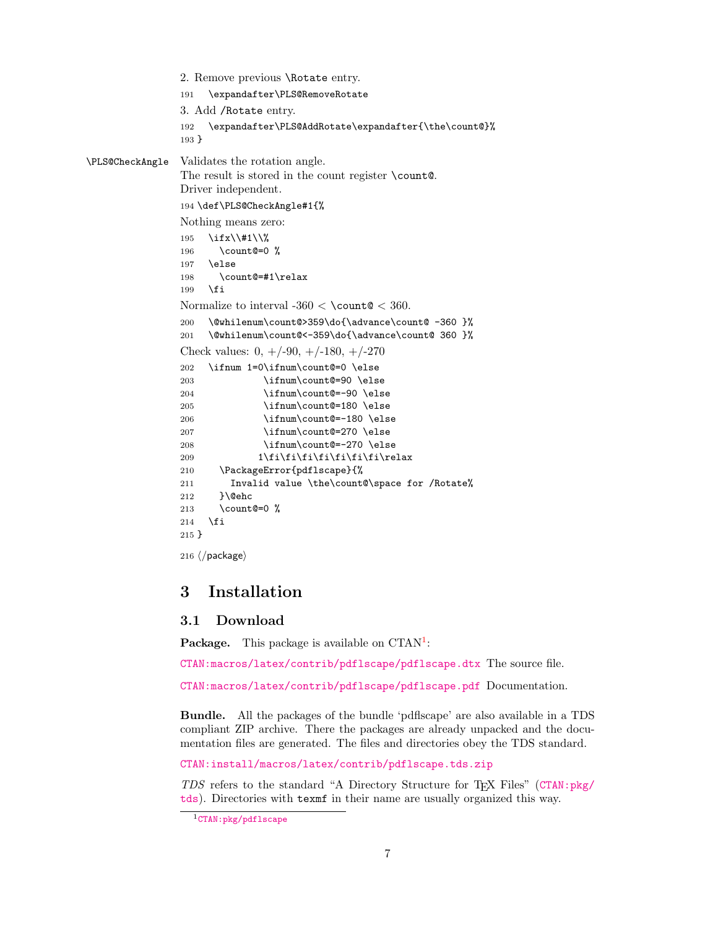```
2. Remove previous \Rotate entry.
                191 \expandafter\PLS@RemoveRotate
                3. Add /Rotate entry.
                192 \expandafter\PLS@AddRotate\expandafter{\the\count@}%
                193 }
\PLS@CheckAngle Validates the rotation angle.
                The result is stored in the count register \count@.
                Driver independent.
                194 \def\PLS@CheckAngle#1{%
                Nothing means zero:
                195 \ifx\\#1\\%
                196 \count@=0 %
                197 \else
                198 \count@=#1\relax
                199 \fi
                Normalize to interval -360 < \{\text{count@} < 360\}.
                200 \@whilenum\count@>359\do{\advance\count@ -360 }%
                201 \@whilenum\count@<-359\do{\advance\count@ 360 }%
                Check values: 0, +/-90, +/-180, +/-270202 \ifnum 1=0\ifnum\count@=0 \else
                203 \ifnum\count@=90 \else
                204 \ifnum\count@=-90 \else
                205 \ifnum\count@=180 \else
                206 \ifnum\count@=-180 \else
                207 \ifnum\count@=270 \else
                208 \ifnum\count@=-270 \else
                209 1\fi\fi\fi\fi\fi\fi\fi\fi\relax
                210 \PackageError{pdflscape}{%
                211 Invalid value \the\count@\space for /Rotate%
                212 }\@ehc
                213 \count@=0 %
                214 \overrightarrow{fi}215 }
                216 \langle /package\rangle
```
# <span id="page-6-19"></span><span id="page-6-18"></span><span id="page-6-17"></span><span id="page-6-16"></span><span id="page-6-15"></span><span id="page-6-14"></span><span id="page-6-13"></span><span id="page-6-12"></span><span id="page-6-11"></span><span id="page-6-10"></span><span id="page-6-5"></span><span id="page-6-3"></span><span id="page-6-0"></span>3 Installation

### <span id="page-6-1"></span>3.1 Download

Package. This package is available on CTAN<sup>[1](#page-6-2)</sup>:

[CTAN:macros/latex/contrib/pdflscape/pdflscape.dtx](https://ctan.org/tex-archive/macros/latex/contrib/pdflscape/pdflscape.dtx) The source file.

[CTAN:macros/latex/contrib/pdflscape/pdflscape.pdf](https://ctan.org/tex-archive/macros/latex/contrib/pdflscape/pdflscape.pdf) Documentation.

Bundle. All the packages of the bundle 'pdflscape' are also available in a TDS compliant ZIP archive. There the packages are already unpacked and the documentation files are generated. The files and directories obey the TDS standard.

[CTAN:install/macros/latex/contrib/pdflscape.tds.zip](http://mirrors.ctan.org/install/macros/latex/contrib/pdflscape.tds.zip)

TDS refers to the standard "A Directory Structure for T<sub>F</sub>X Files" ([CTAN:pkg/](http://ctan.org/pkg/tds) [tds](http://ctan.org/pkg/tds)). Directories with texmf in their name are usually organized this way.

<span id="page-6-2"></span><sup>1</sup>[CTAN:pkg/pdflscape](http://ctan.org/pkg/pdflscape)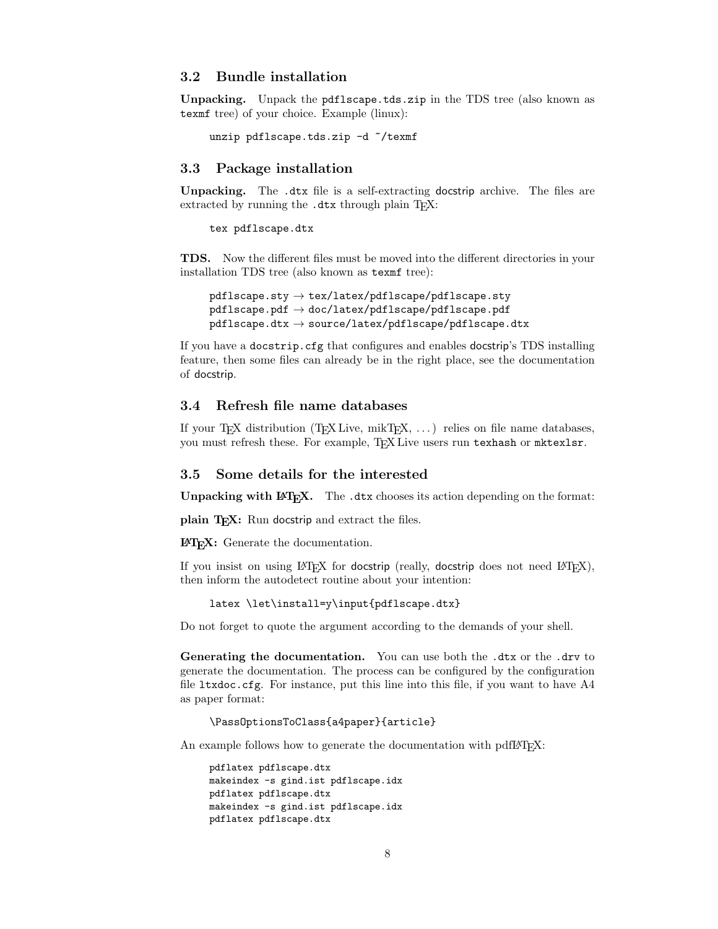#### <span id="page-7-0"></span>3.2 Bundle installation

Unpacking. Unpack the pdflscape.tds.zip in the TDS tree (also known as texmf tree) of your choice. Example (linux):

```
unzip pdflscape.tds.zip -d "/texmf
```
#### <span id="page-7-1"></span>3.3 Package installation

Unpacking. The .dtx file is a self-extracting docstrip archive. The files are extracted by running the .dtx through plain TFX:

tex pdflscape.dtx

TDS. Now the different files must be moved into the different directories in your installation TDS tree (also known as texmf tree):

```
pdflscape.sty \rightarrow tex/lates/pdflscape/pdflscape.stypdflscape.pdf \rightarrow doc/lates/pdflscape/pdflscape.pdfpdflscape.txt \rightarrow source/lates/pdflscape/dflscape.dtx
```
If you have a docstrip.cfg that configures and enables docstrip's TDS installing feature, then some files can already be in the right place, see the documentation of docstrip.

### <span id="page-7-2"></span>3.4 Refresh file name databases

If your T<sub>E</sub>X distribution  $(TEX\text{ Live}, \text{mikTrX}, \ldots)$  relies on file name databases, you must refresh these. For example, TEX Live users run texhash or mktexlsr.

#### <span id="page-7-3"></span>3.5 Some details for the interested

Unpacking with LATEX. The .dtx chooses its action depending on the format:

plain  $T_F X$ : Run docstrip and extract the files.

LATEX: Generate the documentation.

If you insist on using  $L^2T_FX$  for docstrip (really, docstrip does not need  $L^2T_FX$ ), then inform the autodetect routine about your intention:

```
latex \let\install=y\input{pdflscape.dtx}
```
Do not forget to quote the argument according to the demands of your shell.

Generating the documentation. You can use both the .dtx or the .drv to generate the documentation. The process can be configured by the configuration file ltxdoc.cfg. For instance, put this line into this file, if you want to have A4 as paper format:

\PassOptionsToClass{a4paper}{article}

An example follows how to generate the documentation with pdfI $\Delta T$ <sub>F</sub>X:

```
pdflatex pdflscape.dtx
makeindex -s gind.ist pdflscape.idx
pdflatex pdflscape.dtx
makeindex -s gind.ist pdflscape.idx
pdflatex pdflscape.dtx
```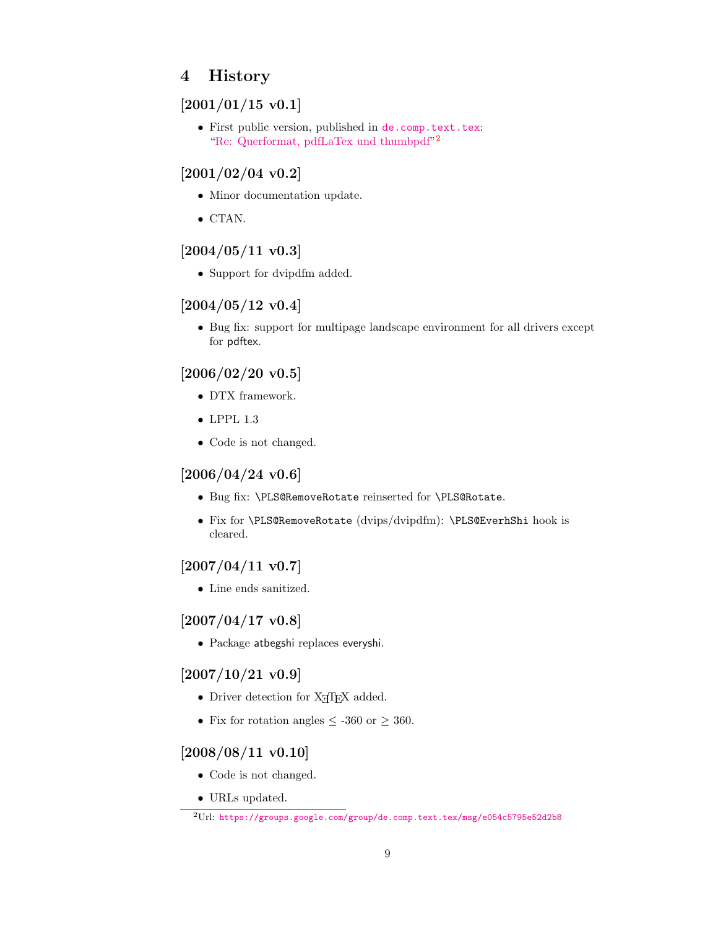# <span id="page-8-0"></span>4 History

# <span id="page-8-1"></span> $[2001/01/15 v0.1]$

• First public version, published in [de.comp.text.tex](news:de.comp.text.tex): ["Re: Querformat, pdfLaTex und thumbpdf"](https://groups.google.com/group/de.comp.text.tex/msg/e054c5795e52d2b8)<sup>[2](#page-8-11)</sup>

# <span id="page-8-2"></span> $[2001/02/04 \text{ v}0.2]$

- Minor documentation update.
- CTAN.

# <span id="page-8-3"></span>[2004/05/11 v0.3]

• Support for dvipdfm added.

## <span id="page-8-4"></span> $[2004/05/12 \text{ v}0.4]$

• Bug fix: support for multipage landscape environment for all drivers except for pdftex.

# <span id="page-8-5"></span>[2006/02/20 v0.5]

- DTX framework.
- LPPL 1.3
- Code is not changed.

## <span id="page-8-6"></span> $[2006/04/24 \text{ v}0.6]$

- Bug fix: \PLS@RemoveRotate reinserted for \PLS@Rotate.
- Fix for \PLS@RemoveRotate (dvips/dvipdfm): \PLS@EverhShi hook is cleared.

# <span id="page-8-7"></span> $[2007/04/11\ v0.7]$

• Line ends sanitized.

# <span id="page-8-8"></span> $[2007/04/17 \text{ v}0.8]$

• Package atbegshi replaces everyshi.

# <span id="page-8-9"></span> $[2007/10/21\ v0.9]$

- Driver detection for  $X \nsubseteq T$ FX added.
- Fix for rotation angles  $\leq$  -360 or  $\geq$  360.

### <span id="page-8-10"></span> $[2008/08/11 \text{ v}0.10]$

- Code is not changed.
- URLs updated.

<span id="page-8-11"></span><sup>2</sup>Url: <https://groups.google.com/group/de.comp.text.tex/msg/e054c5795e52d2b8>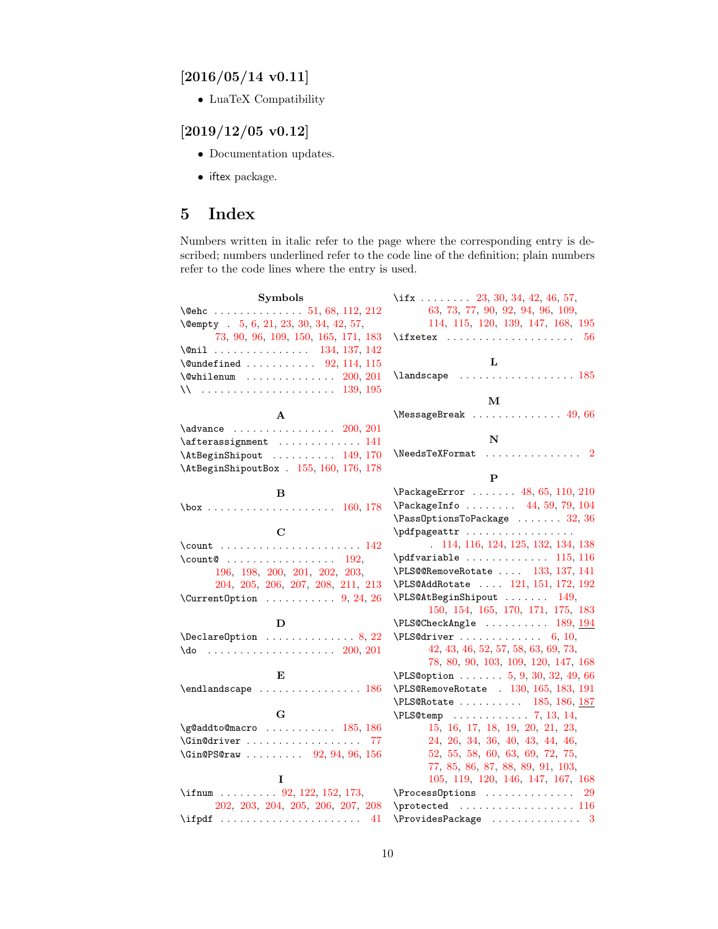# <span id="page-9-0"></span> $[2016/05/14$  v0.11]

• LuaTeX Compatibility

# <span id="page-9-1"></span> $[2019/12/05\ v0.12]$

- Documentation updates.
- iftex package.

# <span id="page-9-2"></span>5 Index

Numbers written in italic refer to the page where the corresponding entry is described; numbers underlined refer to the code line of the definition; plain numbers refer to the code lines where the entry is used.

| <b>Symbols</b>                                                 | \if $x \ldots 23, 30, 34, 42, 46, 57,$                                                     |
|----------------------------------------------------------------|--------------------------------------------------------------------------------------------|
|                                                                | 63, 73, 77, 90, 92, 94, 96, 109,                                                           |
| \@empty . 5, 6, 21, 23, 30, 34, 42, 57,                        | 114, 115, 120, 139, 147, 168, 195                                                          |
| 73, 90, 96, 109, 150, 165, 171, 183                            | 56                                                                                         |
| $\frac{134}{137}$ , 142                                        |                                                                                            |
| $\text{Qundefined} \ldots \ldots \ldots \quad 92, 114, 115$    | L                                                                                          |
| $\text{Qwhilenum}$ 200, 201                                    | $\label{eq:main} \verb \land and \verb scale    \verb  \ldots  \verb   \verb   \verb 185 $ |
|                                                                |                                                                                            |
|                                                                | М                                                                                          |
| A                                                              | $MessageBreak \dots \dots \dots \dots 49,66$                                               |
| $\lambda$ advance $200, 201$                                   |                                                                                            |
| \afterassignment  141                                          | N                                                                                          |
| $\verb+\AtBeginShipout + \dots + 149, 170$                     |                                                                                            |
| \AtBeginShipoutBox . 155, 160, 176, 178                        | P                                                                                          |
|                                                                | \PackageError  48, 65, 110, 210                                                            |
| В                                                              | \PackageInfo  44, 59, 79, 104                                                              |
| $\text{box} \ldots \ldots \ldots \ldots \ldots \quad 160, 178$ | $\n\text{PassOptionsToPackage} \dots \dots \ 32, 36$                                       |
| $\mathbf C$                                                    | \pdfpageattr                                                                               |
|                                                                | . 114, 116, 124, 125, 132, 134, 138                                                        |
| $\count@$ 192,                                                 |                                                                                            |
| 196, 198, 200, 201, 202, 203,                                  | $\PES@RemoveRotate  133, 137, 141$                                                         |
| 204, 205, 206, 207, 208, 211, 213                              | \PLS@AddRotate  121, 151, 172, 192                                                         |
| $\Upsilon$ : CurrentOption  9, 24, 26                          | \PLS@AtBeginShipout  149,                                                                  |
|                                                                | 150, 154, 165, 170, 171, 175, 183                                                          |
| D                                                              | $\PES@CheckAngle \dots \dots \ 189, 194$                                                   |
| $\Delta$ PeclareOption  8, 22                                  | $\PLS@driver \ldots \ldots \ldots 6, 10,$                                                  |
| $\{do \dots \dots \dots \dots \dots \dots \ 200, 201$          | 42, 43, 46, 52, 57, 58, 63, 69, 73,                                                        |
|                                                                | 78, 80, 90, 103, 109, 120, 147, 168                                                        |
| E                                                              | $\Delta 5, 9, 30, 32, 49, 66$                                                              |
| $\end{math}$ candscape  186                                    | \PLS@RemoveRotate . 130, 165, 183, 191                                                     |
|                                                                | \PLS@Rotate  185, 186, 187                                                                 |
| G                                                              |                                                                                            |
| $\qquad$ Qaddto@macro  185, 186                                | 15, 16, 17, 18, 19, 20, 21, 23,                                                            |
| \Gin@driver  77                                                | 24, 26, 34, 36, 40, 43, 44, 46,                                                            |
| \Gin@PS@raw  92, 94, 96, 156                                   | 52, 55, 58, 60, 63, 69, 72, 75,                                                            |
|                                                                | 77, 85, 86, 87, 88, 89, 91, 103,                                                           |
| I                                                              | 105, 119, 120, 146, 147, 167, 168                                                          |
| \ifnum 92, 122, 152, 173,                                      | \ProcessOptions<br>29                                                                      |
| 202, 203, 204, 205, 206, 207, 208                              |                                                                                            |
| $\left\{\text{ifpdf}\dots\dots\dots\dots\right\}$              | $\verb+\ProvidesPackage + \dots + \dots + \dots + 3$                                       |